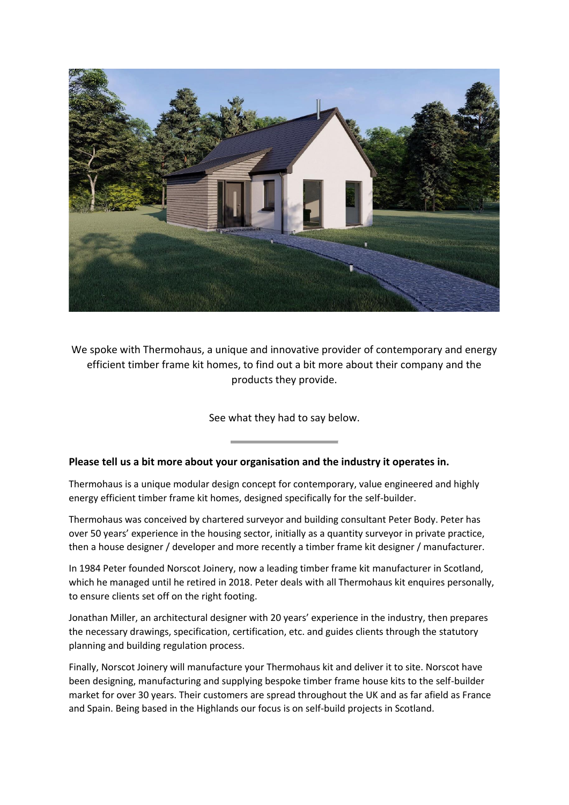

We spoke with Thermohaus, a unique and innovative provider of contemporary and energy efficient timber frame kit homes, to find out a bit more about their company and the products they provide.

See what they had to say below.

## **Please tell us a bit more about your organisation and the industry it operates in.**

Thermohaus is a unique modular design concept for contemporary, value engineered and highly energy efficient timber frame kit homes, designed specifically for the self-builder.

Thermohaus was conceived by chartered surveyor and building consultant Peter Body. Peter has over 50 years' experience in the housing sector, initially as a quantity surveyor in private practice, then a house designer / developer and more recently a timber frame kit designer / manufacturer.

In 1984 Peter founded Norscot Joinery, now a leading timber frame kit manufacturer in Scotland, which he managed until he retired in 2018. Peter deals with all Thermohaus kit enquires personally, to ensure clients set off on the right footing.

Jonathan Miller, an architectural designer with 20 years' experience in the industry, then prepares the necessary drawings, specification, certification, etc. and guides clients through the statutory planning and building regulation process.

Finally, Norscot Joinery will manufacture your Thermohaus kit and deliver it to site. Norscot have been designing, manufacturing and supplying bespoke timber frame house kits to the self-builder market for over 30 years. Their customers are spread throughout the UK and as far afield as France and Spain. Being based in the Highlands our focus is on self-build projects in Scotland.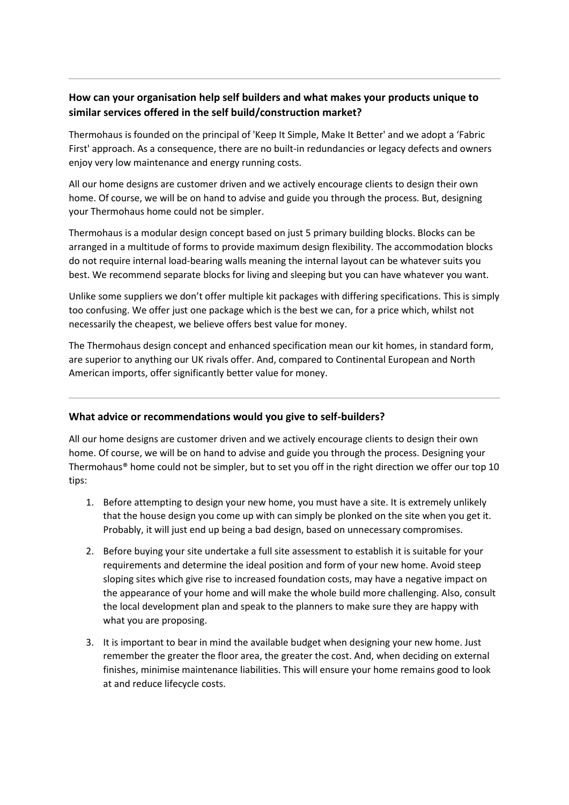# **How can your organisation help self builders and what makes your products unique to similar services offered in the self build/construction market?**

Thermohaus is founded on the principal of 'Keep It Simple, Make It Better' and we adopt a 'Fabric First' approach. As a consequence, there are no built-in redundancies or legacy defects and owners enjoy very low maintenance and energy running costs.

All our home designs are customer driven and we actively encourage clients to design their own home. Of course, we will be on hand to advise and guide you through the process. But, designing your Thermohaus home could not be simpler.

Thermohaus is a modular design concept based on just 5 primary building blocks. Blocks can be arranged in a multitude of forms to provide maximum design flexibility. The accommodation blocks do not require internal load-bearing walls meaning the internal layout can be whatever suits you best. We recommend separate blocks for living and sleeping but you can have whatever you want.

Unlike some suppliers we don't offer multiple kit packages with differing specifications. This is simply too confusing. We offer just one package which is the best we can, for a price which, whilst not necessarily the cheapest, we believe offers best value for money.

The Thermohaus design concept and enhanced specification mean our kit homes, in standard form, are superior to anything our UK rivals offer. And, compared to Continental European and North American imports, offer significantly better value for money.

## **What advice or recommendations would you give to self-builders?**

All our home designs are customer driven and we actively encourage clients to design their own home. Of course, we will be on hand to advise and guide you through the process. Designing your Thermohaus® home could not be simpler, but to set you off in the right direction we offer our top 10 tips:

- 1. Before attempting to design your new home, you must have a site. It is extremely unlikely that the house design you come up with can simply be plonked on the site when you get it. Probably, it will just end up being a bad design, based on unnecessary compromises.
- 2. Before buying your site undertake a full site assessment to establish it is suitable for your requirements and determine the ideal position and form of your new home. Avoid steep sloping sites which give rise to increased foundation costs, may have a negative impact on the appearance of your home and will make the whole build more challenging. Also, consult the local development plan and speak to the planners to make sure they are happy with what you are proposing.
- 3. It is important to bear in mind the available budget when designing your new home. Just remember the greater the floor area, the greater the cost. And, when deciding on external finishes, minimise maintenance liabilities. This will ensure your home remains good to look at and reduce lifecycle costs.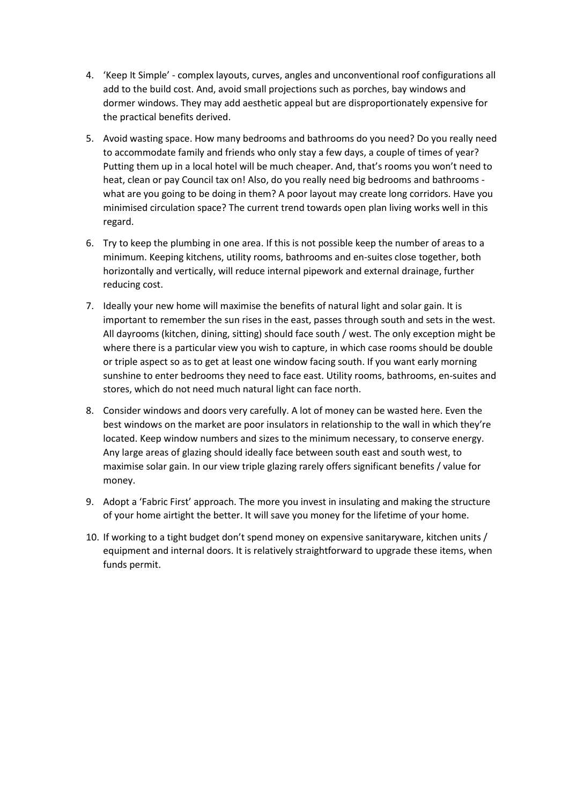- 4. 'Keep It Simple' complex layouts, curves, angles and unconventional roof configurations all add to the build cost. And, avoid small projections such as porches, bay windows and dormer windows. They may add aesthetic appeal but are disproportionately expensive for the practical benefits derived.
- 5. Avoid wasting space. How many bedrooms and bathrooms do you need? Do you really need to accommodate family and friends who only stay a few days, a couple of times of year? Putting them up in a local hotel will be much cheaper. And, that's rooms you won't need to heat, clean or pay Council tax on! Also, do you really need big bedrooms and bathrooms what are you going to be doing in them? A poor layout may create long corridors. Have you minimised circulation space? The current trend towards open plan living works well in this regard.
- 6. Try to keep the plumbing in one area. If this is not possible keep the number of areas to a minimum. Keeping kitchens, utility rooms, bathrooms and en-suites close together, both horizontally and vertically, will reduce internal pipework and external drainage, further reducing cost.
- 7. Ideally your new home will maximise the benefits of natural light and solar gain. It is important to remember the sun rises in the east, passes through south and sets in the west. All dayrooms (kitchen, dining, sitting) should face south / west. The only exception might be where there is a particular view you wish to capture, in which case rooms should be double or triple aspect so as to get at least one window facing south. If you want early morning sunshine to enter bedrooms they need to face east. Utility rooms, bathrooms, en-suites and stores, which do not need much natural light can face north.
- 8. Consider windows and doors very carefully. A lot of money can be wasted here. Even the best windows on the market are poor insulators in relationship to the wall in which they're located. Keep window numbers and sizes to the minimum necessary, to conserve energy. Any large areas of glazing should ideally face between south east and south west, to maximise solar gain. In our view triple glazing rarely offers significant benefits / value for money.
- 9. Adopt a 'Fabric First' approach. The more you invest in insulating and making the structure of your home airtight the better. It will save you money for the lifetime of your home.
- 10. If working to a tight budget don't spend money on expensive sanitaryware, kitchen units / equipment and internal doors. It is relatively straightforward to upgrade these items, when funds permit.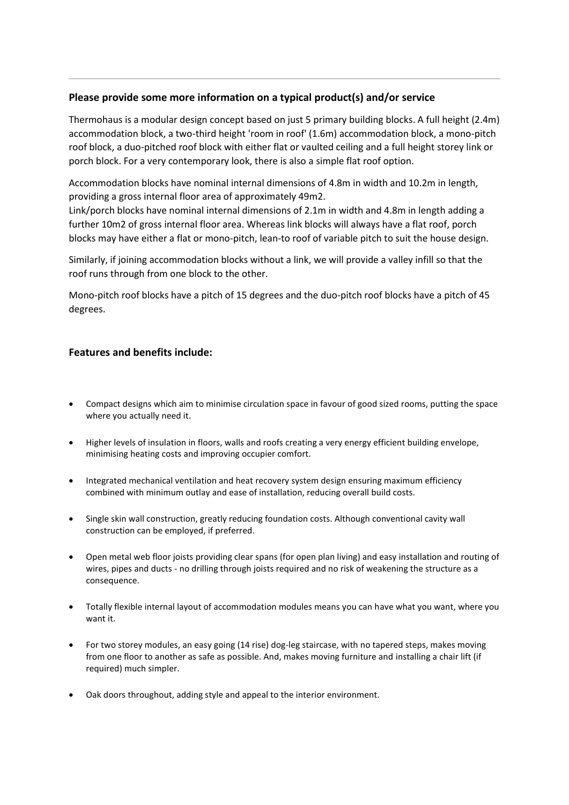#### **Please provide some more information on a typical product(s) and/or service**

Thermohaus is a modular design concept based on just 5 primary building blocks. A full height (2.4m) accommodation block, a two-third height 'room in roof' (1.6m) accommodation block, a mono-pitch roof block, a duo-pitched roof block with either flat or vaulted ceiling and a full height storey link or porch block. For a very contemporary look, there is also a simple flat roof option.

Accommodation blocks have nominal internal dimensions of 4.8m in width and 10.2m in length, providing a gross internal floor area of approximately 49m2.

Link/porch blocks have nominal internal dimensions of 2.1m in width and 4.8m in length adding a further 10m2 of gross internal floor area. Whereas link blocks will always have a flat roof, porch blocks may have either a flat or mono-pitch, lean-to roof of variable pitch to suit the house design.

Similarly, if joining accommodation blocks without a link, we will provide a valley infill so that the roof runs through from one block to the other.

Mono-pitch roof blocks have a pitch of 15 degrees and the duo-pitch roof blocks have a pitch of 45 degrees.

#### **Features and benefits include:**

- Compact designs which aim to minimise circulation space in favour of good sized rooms, putting the space where you actually need it.
- Higher levels of insulation in floors, walls and roofs creating a very energy efficient building envelope, minimising heating costs and improving occupier comfort.
- Integrated mechanical ventilation and heat recovery system design ensuring maximum efficiency combined with minimum outlay and ease of installation, reducing overall build costs.
- Single skin wall construction, greatly reducing foundation costs. Although conventional cavity wall construction can be employed, if preferred.
- Open metal web floor joists providing clear spans (for open plan living) and easy installation and routing of wires, pipes and ducts - no drilling through joists required and no risk of weakening the structure as a consequence.
- Totally flexible internal layout of accommodation modules means you can have what you want, where you want it.
- For two storey modules, an easy going (14 rise) dog-leg staircase, with no tapered steps, makes moving from one floor to another as safe as possible. And, makes moving furniture and installing a chair lift (if required) much simpler.
- Oak doors throughout, adding style and appeal to the interior environment.